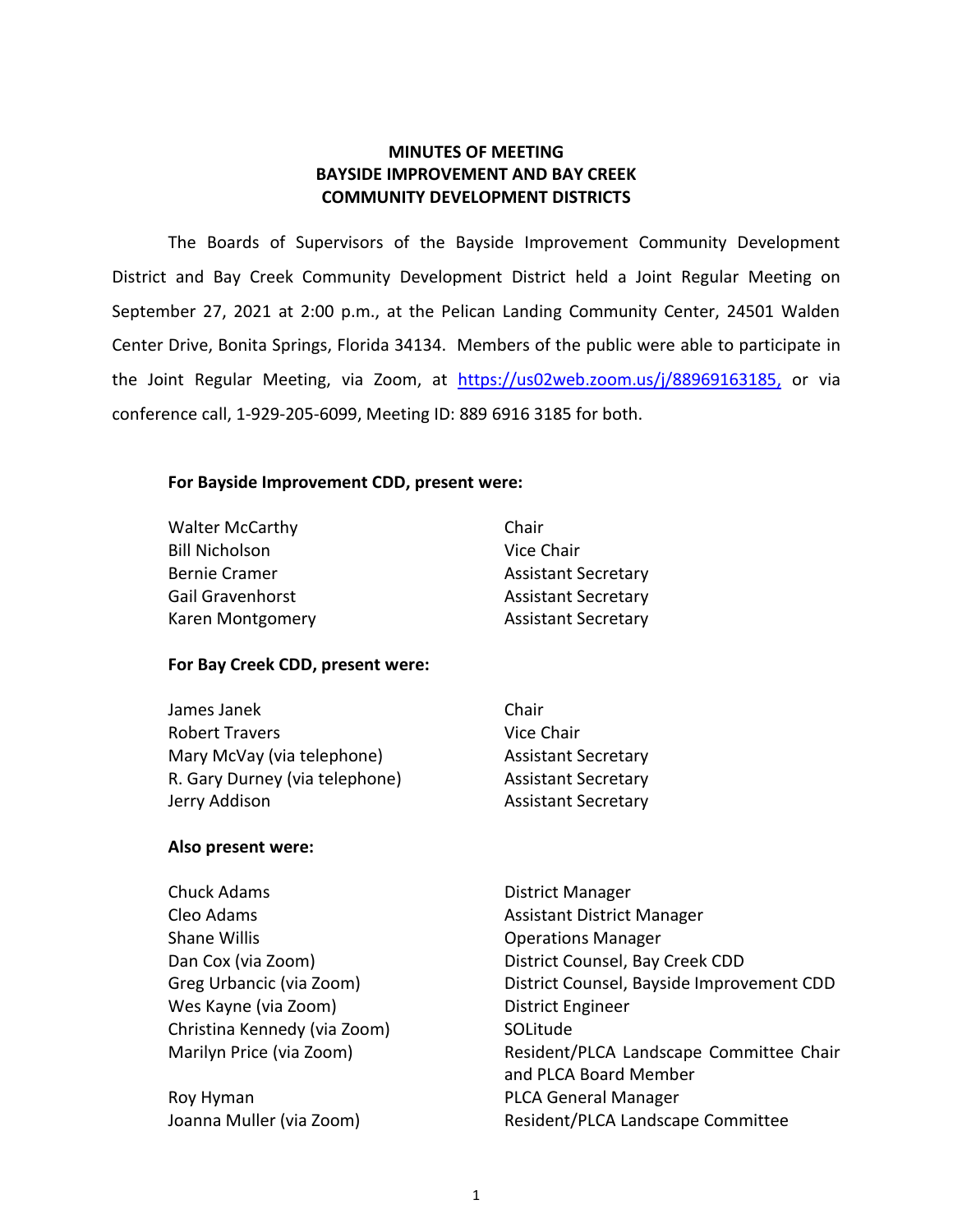## **MINUTES OF MEETING BAYSIDE IMPROVEMENT AND BAY CREEK COMMUNITY DEVELOPMENT DISTRICTS**

 The Boards of Supervisors of the Bayside Improvement Community Development District and Bay Creek Community Development District held a Joint Regular Meeting on September 27, 2021 at 2:00 p.m., at the Pelican Landing Community Center, 24501 Walden Center Drive, Bonita Springs, Florida 34134. Members of the public were able to participate in conference call, 1-929-205-6099, Meeting ID: 889 6916 3185 for both. the Joint Regular Meeting, via Zoom, at [https://us02web.zoom.us/j/88969163185,](https://us02web.zoom.us/j/88969163185) or via

## **For Bayside Improvement CDD, present were:**

| <b>Walter McCarthy</b> | Chair                      |
|------------------------|----------------------------|
| <b>Bill Nicholson</b>  | Vice Chair                 |
| <b>Bernie Cramer</b>   | <b>Assistant Secretary</b> |
| Gail Gravenhorst       | <b>Assistant Secretary</b> |
| Karen Montgomery       | <b>Assistant Secretary</b> |

### **For Bay Creek CDD, present were:**

| James Janek                    | Chair                      |
|--------------------------------|----------------------------|
| <b>Robert Travers</b>          | Vice Chair                 |
| Mary McVay (via telephone)     | <b>Assistant Secretary</b> |
| R. Gary Durney (via telephone) | <b>Assistant Secretary</b> |
| Jerry Addison                  | <b>Assistant Secretary</b> |

### **Also present were:**

| Chuck Adams                  | District Manager                          |
|------------------------------|-------------------------------------------|
| Cleo Adams                   | <b>Assistant District Manager</b>         |
| <b>Shane Willis</b>          | <b>Operations Manager</b>                 |
| Dan Cox (via Zoom)           | District Counsel, Bay Creek CDD           |
| Greg Urbancic (via Zoom)     | District Counsel, Bayside Improvement CDD |
| Wes Kayne (via Zoom)         | District Engineer                         |
| Christina Kennedy (via Zoom) | SOLitude                                  |
| Marilyn Price (via Zoom)     | Resident/PLCA Landscape Committee Chair   |
|                              | and PLCA Board Member                     |
| Roy Hyman                    | <b>PLCA General Manager</b>               |
| Joanna Muller (via Zoom)     | Resident/PLCA Landscape Committee         |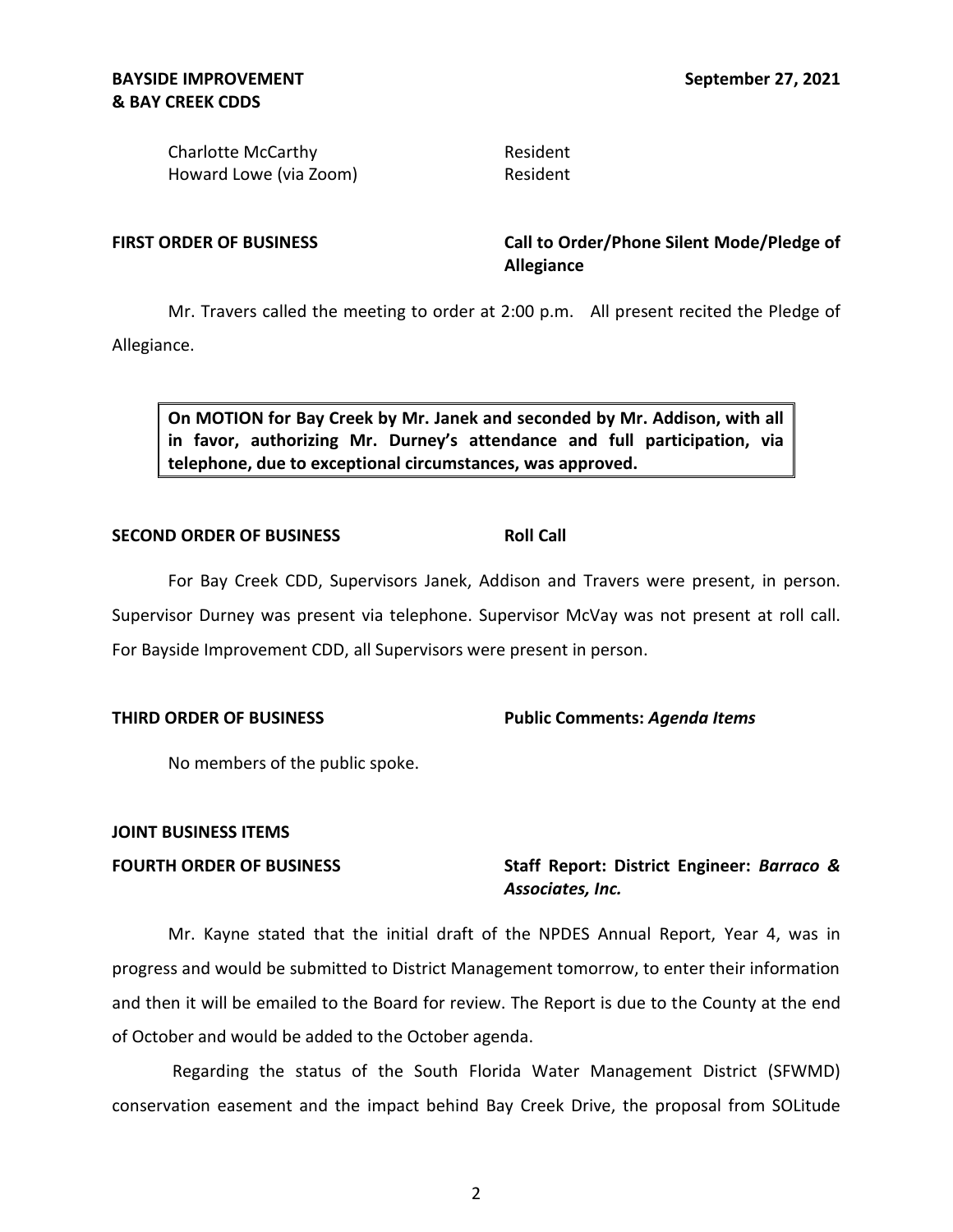Charlotte McCarthy **Resident** Resident Howard Lowe (via Zoom) Resident

FIRST ORDER OF BUSINESS **The Call to Order/Phone Silent Mode/Pledge of Allegiance** 

 Mr. Travers called the meeting to order at 2:00 p.m. All present recited the Pledge of Allegiance.

 **On MOTION for Bay Creek by Mr. Janek and seconded by Mr. Addison, with all in favor, authorizing Mr. Durney's attendance and full participation, via telephone, due to exceptional circumstances, was approved.** 

### **SECOND ORDER OF BUSINESS ROLL CALL ROLL CALL**

Supervisor Durney was present via telephone. Supervisor McVay was not present at roll call.<br>For Bayside Improvement CDD, all Supervisors were present in person. For Bayside Improvement CDD, all Supervisors were present in person. For Bay Creek CDD, Supervisors Janek, Addison and Travers were present, in person.

## **THIRD ORDER OF BUSINESS Public Comments:** *Agenda Items*

No members of the public spoke.

## **JOINT BUSINESS ITEMS**

 **FOURTH ORDER OF BUSINESS** Staff Report: District Engineer: *Barraco & Associates, Inc.* 

 Mr. Kayne stated that the initial draft of the NPDES Annual Report, Year 4, was in progress and would be submitted to District Management tomorrow, to enter their information and then it will be emailed to the Board for review. The Report is due to the County at the end of October and would be added to the October agenda.

 conservation easement and the impact behind Bay Creek Drive, the proposal from SOLitude Regarding the status of the South Florida Water Management District (SFWMD)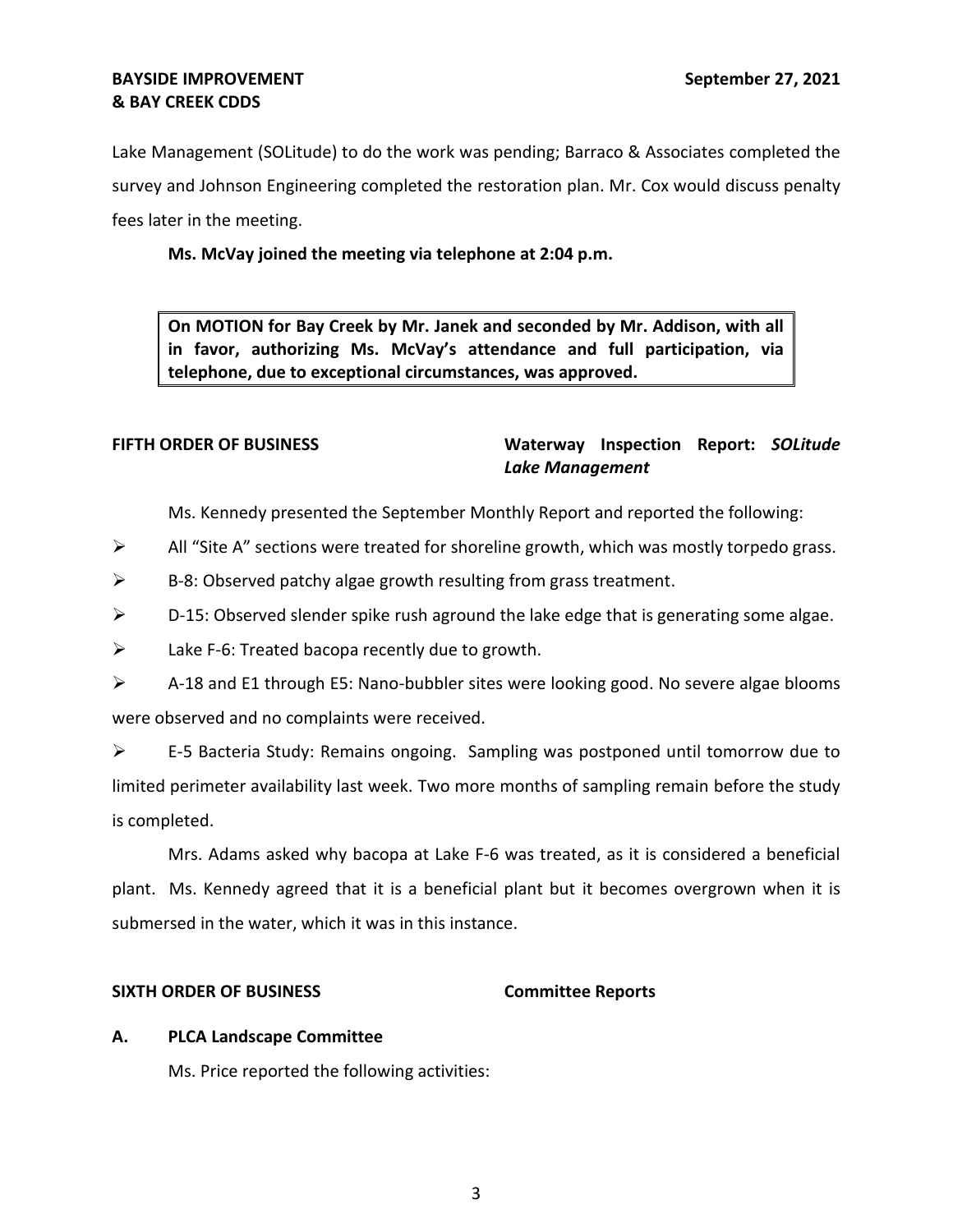Lake Management (SOLitude) to do the work was pending; Barraco & Associates completed the survey and Johnson Engineering completed the restoration plan. Mr. Cox would discuss penalty fees later in the meeting.

# **Ms. McVay joined the meeting via telephone at 2:04 p.m.**

 **On MOTION for Bay Creek by Mr. Janek and seconded by Mr. Addison, with all in favor, authorizing Ms. McVay's attendance and full participation, via telephone, due to exceptional circumstances, was approved.** 

## **FIFTH ORDER OF BUSINESS Waterway Inspection Report:** *SOLitude Lake Management*

Ms. Kennedy presented the September Monthly Report and reported the following:

- $\triangleright$  All "Site A" sections were treated for shoreline growth, which was mostly torpedo grass.
- $\triangleright$  B-8: Observed patchy algae growth resulting from grass treatment.
- $\triangleright$  D-15: Observed slender spike rush aground the lake edge that is generating some algae.
- $\triangleright$  Lake F-6: Treated bacopa recently due to growth.

| A-18 and E1 through E5: Nano-bubbler sites were looking good. No severe algae blooms |
|--------------------------------------------------------------------------------------|
| were observed and no complaints were received.                                       |

 ➢ E-5 Bacteria Study: Remains ongoing. Sampling was postponed until tomorrow due to limited perimeter availability last week. Two more months of sampling remain before the study is completed.

 Mrs. Adams asked why bacopa at Lake F-6 was treated, as it is considered a beneficial plant. Ms. Kennedy agreed that it is a beneficial plant but it becomes overgrown when it is submersed in the water, which it was in this instance.

### **SIXTH ORDER OF BUSINESS Committee Reports**

### **A. PLCA Landscape Committee**

Ms. Price reported the following activities: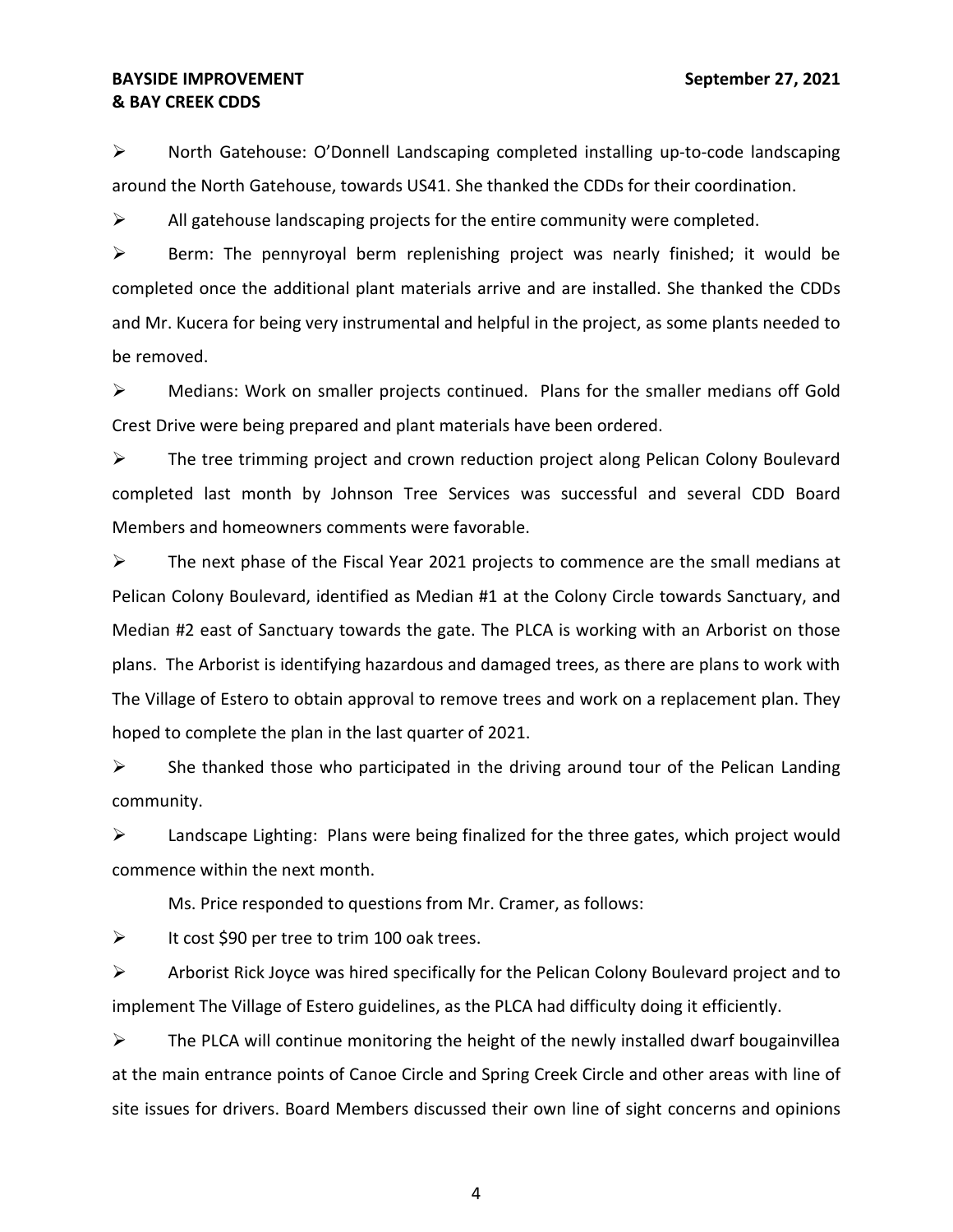## **& BAY CREEK CDDS BAYSIDE IMPROVEMENT** September 27, 2021

 around the North Gatehouse, towards US41. She thanked the CDDs for their coordination. ➢ North Gatehouse: O'Donnell Landscaping completed installing up-to-code landscaping

 $\triangleright$  All gatehouse landscaping projects for the entire community were completed.

 $\triangleright$  Berm: The pennyroyal berm replenishing project was nearly finished; it would be completed once the additional plant materials arrive and are installed. She thanked the CDDs and Mr. Kucera for being very instrumental and helpful in the project, as some plants needed to be removed.

 ➢ Medians: Work on smaller projects continued. Plans for the smaller medians off Gold Crest Drive were being prepared and plant materials have been ordered.

 ➢ The tree trimming project and crown reduction project along Pelican Colony Boulevard completed last month by Johnson Tree Services was successful and several CDD Board Members and homeowners comments were favorable.

 Pelican Colony Boulevard, identified as Median #1 at the Colony Circle towards Sanctuary, and Median #2 east of Sanctuary towards the gate. The PLCA is working with an Arborist on those plans. The Arborist is identifying hazardous and damaged trees, as there are plans to work with The Village of Estero to obtain approval to remove trees and work on a replacement plan. They hoped to complete the plan in the last quarter of 2021.  $\triangleright$  The next phase of the Fiscal Year 2021 projects to commence are the small medians at

 $\triangleright$  She thanked those who participated in the driving around tour of the Pelican Landing community.

 $\triangleright$  Landscape Lighting: Plans were being finalized for the three gates, which project would commence within the next month.

Ms. Price responded to questions from Mr. Cramer, as follows:

 $\triangleright$  It cost \$90 per tree to trim 100 oak trees.

 $\triangleright$  Arborist Rick Joyce was hired specifically for the Pelican Colony Boulevard project and to implement The Village of Estero guidelines, as the PLCA had difficulty doing it efficiently.

 $\triangleright$  The PLCA will continue monitoring the height of the newly installed dwarf bougainvillea at the main entrance points of Canoe Circle and Spring Creek Circle and other areas with line of site issues for drivers. Board Members discussed their own line of sight concerns and opinions

4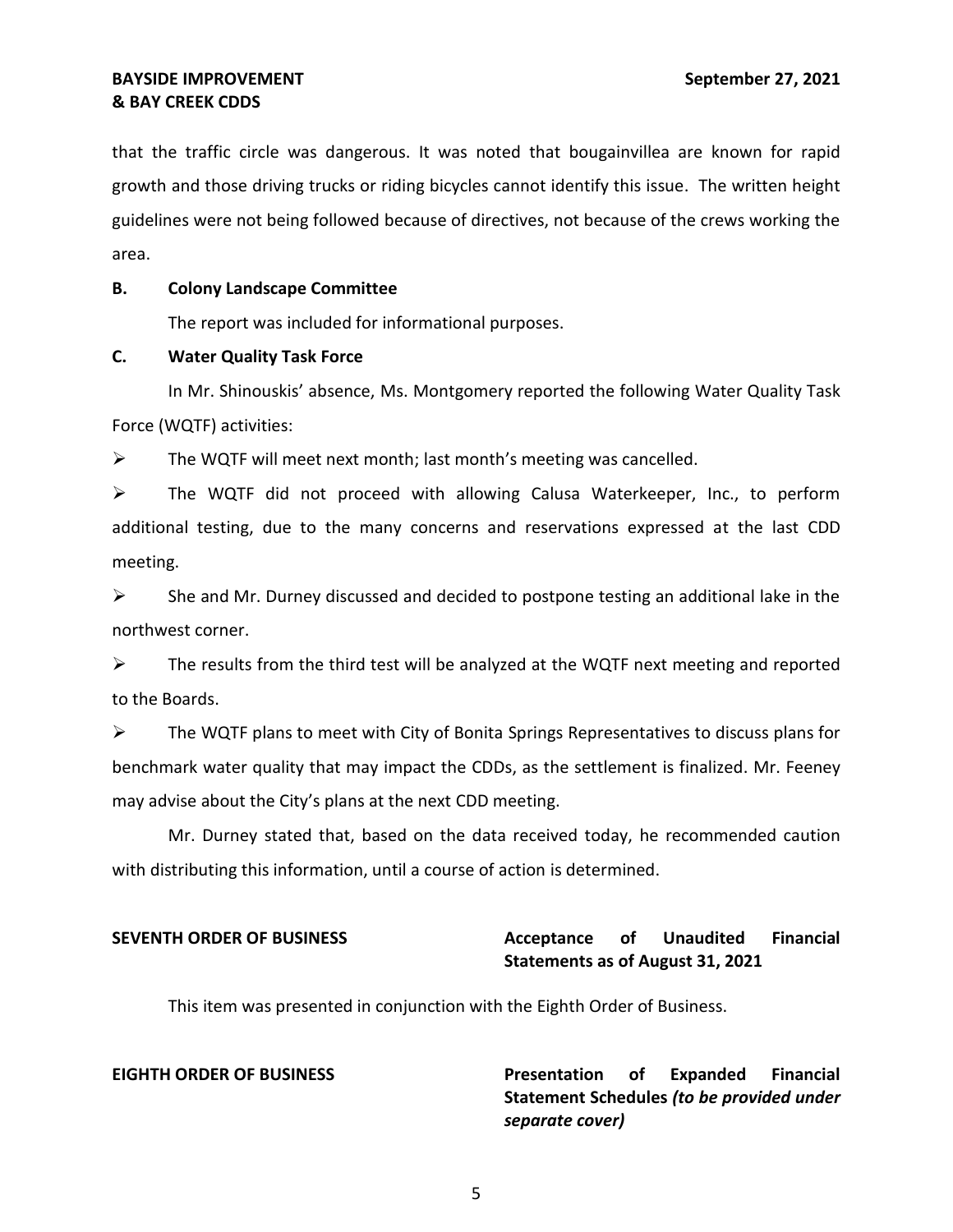that the traffic circle was dangerous. It was noted that bougainvillea are known for rapid growth and those driving trucks or riding bicycles cannot identify this issue. The written height guidelines were not being followed because of directives, not because of the crews working the area.

### **B. Colony Landscape Committee**

The report was included for informational purposes.

### **C. Water Quality Task Force**

In Mr. Shinouskis' absence, Ms. Montgomery reported the following Water Quality Task Force (WQTF) activities:

 $\triangleright$  The WQTF will meet next month; last month's meeting was cancelled.

 ➢ The WQTF did not proceed with allowing Calusa Waterkeeper, Inc., to perform additional testing, due to the many concerns and reservations expressed at the last CDD meeting.

 $\triangleright$  She and Mr. Durney discussed and decided to postpone testing an additional lake in the northwest corner.

 $\triangleright$  The results from the third test will be analyzed at the WQTF next meeting and reported to the Boards.

 $\triangleright$  The WQTF plans to meet with City of Bonita Springs Representatives to discuss plans for benchmark water quality that may impact the CDDs, as the settlement is finalized. Mr. Feeney may advise about the City's plans at the next CDD meeting.

 with distributing this information, until a course of action is determined. Mr. Durney stated that, based on the data received today, he recommended caution

### Acceptance of  **Statements as of August 31, 2021 SEVENTH ORDER OF BUSINESS Acceptance of Unaudited Financial**

This item was presented in conjunction with the Eighth Order of Business.

**EIGHTH ORDER OF BUSINESS Presentation of Expanded Financial Statement Schedules** *(to be provided under separate cover)*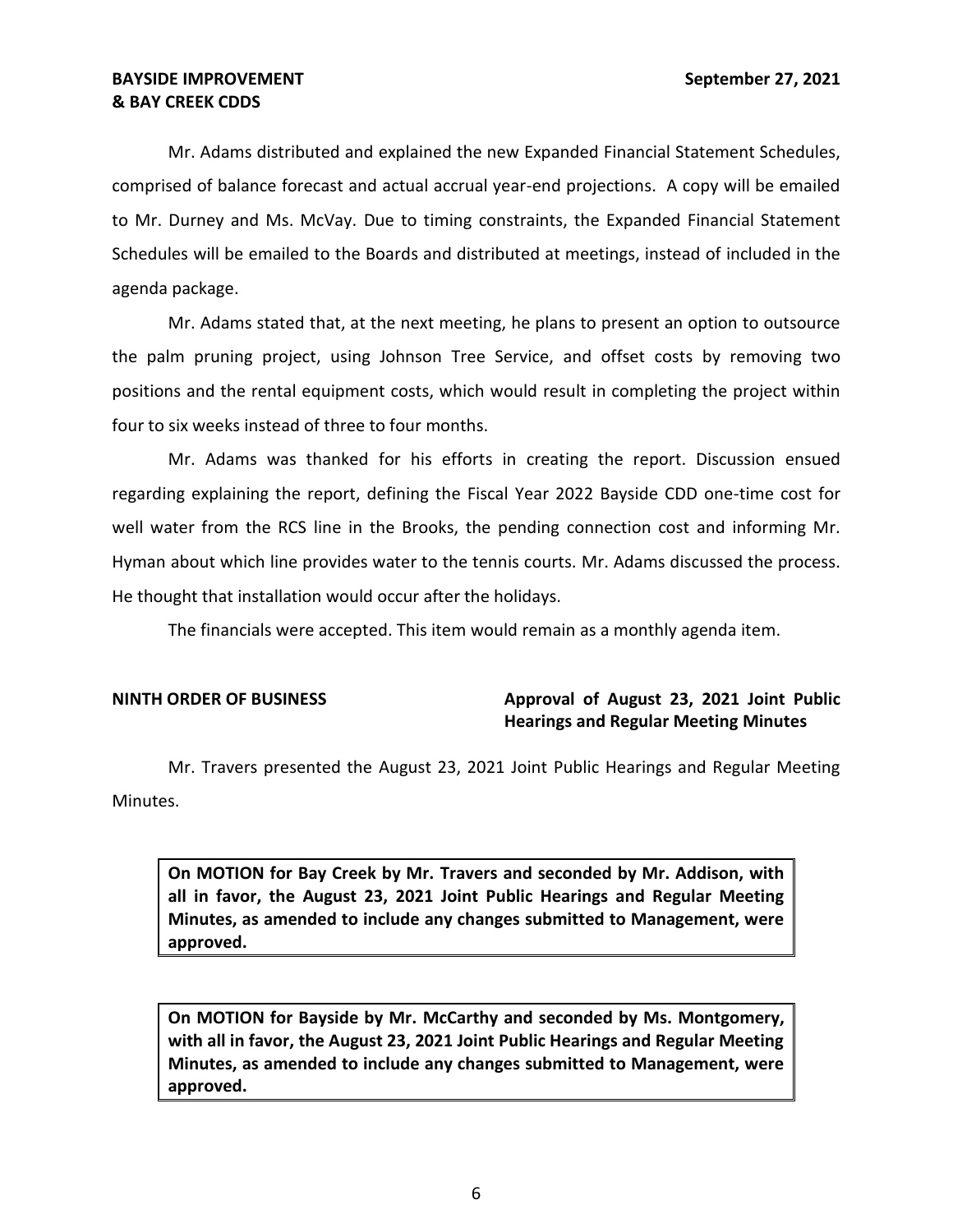Mr. Adams distributed and explained the new Expanded Financial Statement Schedules, comprised of balance forecast and actual accrual year-end projections. A copy will be emailed to Mr. Durney and Ms. McVay. Due to timing constraints, the Expanded Financial Statement Schedules will be emailed to the Boards and distributed at meetings, instead of included in the agenda package.

 Mr. Adams stated that, at the next meeting, he plans to present an option to outsource the palm pruning project, using Johnson Tree Service, and offset costs by removing two positions and the rental equipment costs, which would result in completing the project within four to six weeks instead of three to four months.

 Mr. Adams was thanked for his efforts in creating the report. Discussion ensued regarding explaining the report, defining the Fiscal Year 2022 Bayside CDD one-time cost for well water from the RCS line in the Brooks, the pending connection cost and informing Mr. Hyman about which line provides water to the tennis courts. Mr. Adams discussed the process. He thought that installation would occur after the holidays.

The financials were accepted. This item would remain as a monthly agenda item.

# **NINTH ORDER OF BUSINESS Approval of August 23, 2021 Joint Public Hearings and Regular Meeting Minutes**

Mr. Travers presented the August 23, 2021 Joint Public Hearings and Regular Meeting Minutes.

 **On MOTION for Bay Creek by Mr. Travers and seconded by Mr. Addison, with all in favor, the August 23, 2021 Joint Public Hearings and Regular Meeting Minutes, as amended to include any changes submitted to Management, were approved.** 

 **On MOTION for Bayside by Mr. McCarthy and seconded by Ms. Montgomery, with all in favor, the August 23, 2021 Joint Public Hearings and Regular Meeting Minutes, as amended to include any changes submitted to Management, were approved.**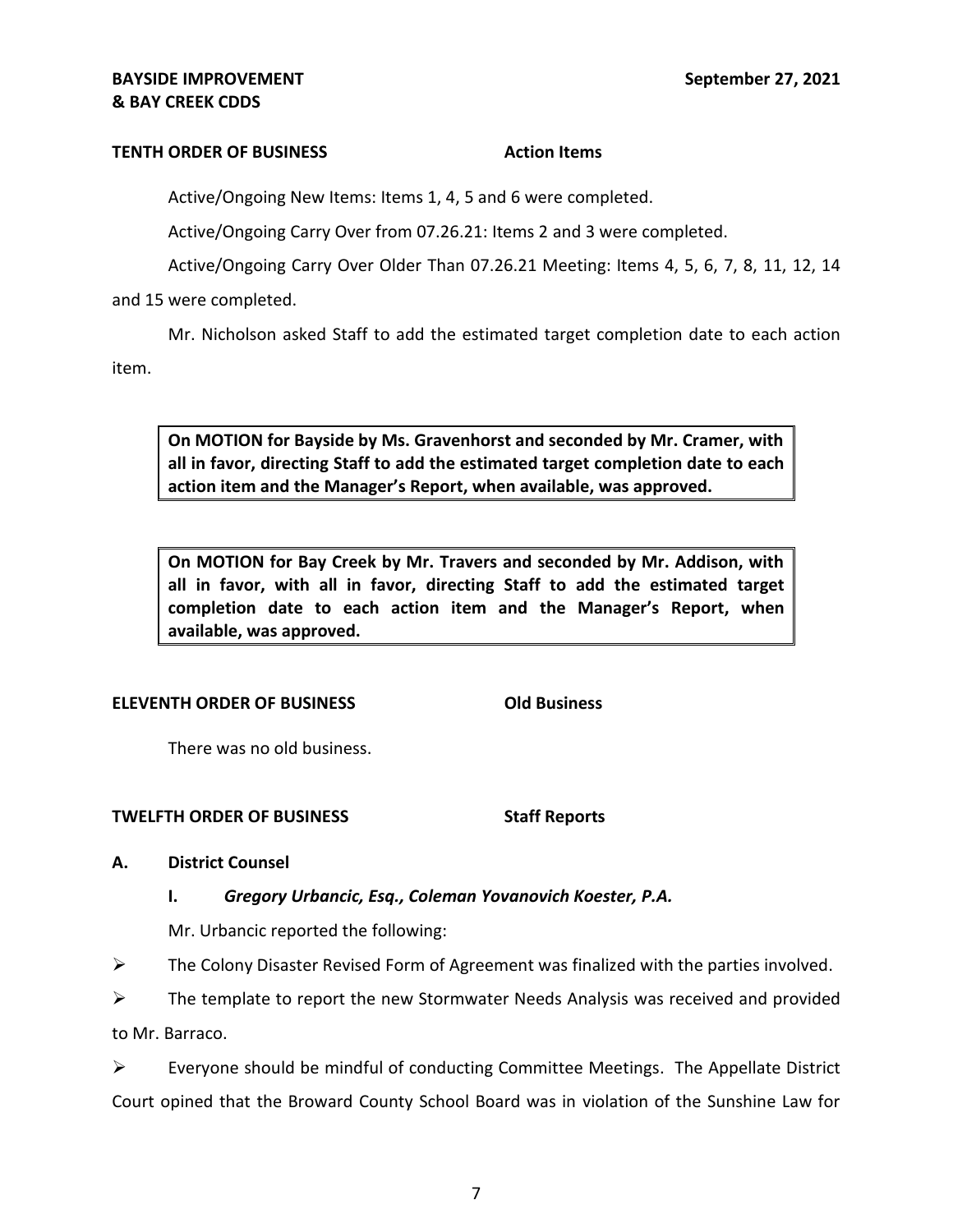### **TENTH ORDER OF BUSINESS Action Items**

Active/Ongoing New Items: Items 1, 4, 5 and 6 were completed.

Active/Ongoing Carry Over from [07.26.21](https://07.26.21): Items 2 and 3 were completed.

Active/Ongoing Carry Over Older Than [07.26.21](https://07.26.21) Meeting: Items 4, 5, 6, 7, 8, 11, 12, 14

and 15 were completed.

 Mr. Nicholson asked Staff to add the estimated target completion date to each action item.

 **On MOTION for Bayside by Ms. Gravenhorst and seconded by Mr. Cramer, with all in favor, directing Staff to add the estimated target completion date to each action item and the Manager's Report, when available, was approved.** 

 **On MOTION for Bay Creek by Mr. Travers and seconded by Mr. Addison, with all in favor, with all in favor, directing Staff to add the estimated target completion date to each action item and the Manager's Report, when available, was approved.** 

### **ELEVENTH ORDER OF BUSINESS Old Business**

There was no old business.

### **TWELFTH ORDER OF BUSINESS STATE STAFF REPORTS**

### **A. District Counsel**

## **I.** *Gregory Urbancic, Esq., Coleman Yovanovich Koester, P.A.*

Mr. Urbancic reported the following:

 $\triangleright$  The Colony Disaster Revised Form of Agreement was finalized with the parties involved.

 $\triangleright$  The template to report the new Stormwater Needs Analysis was received and provided to Mr. Barraco.

 Court opined that the Broward County School Board was in violation of the Sunshine Law for  $\triangleright$  Everyone should be mindful of conducting Committee Meetings. The Appellate District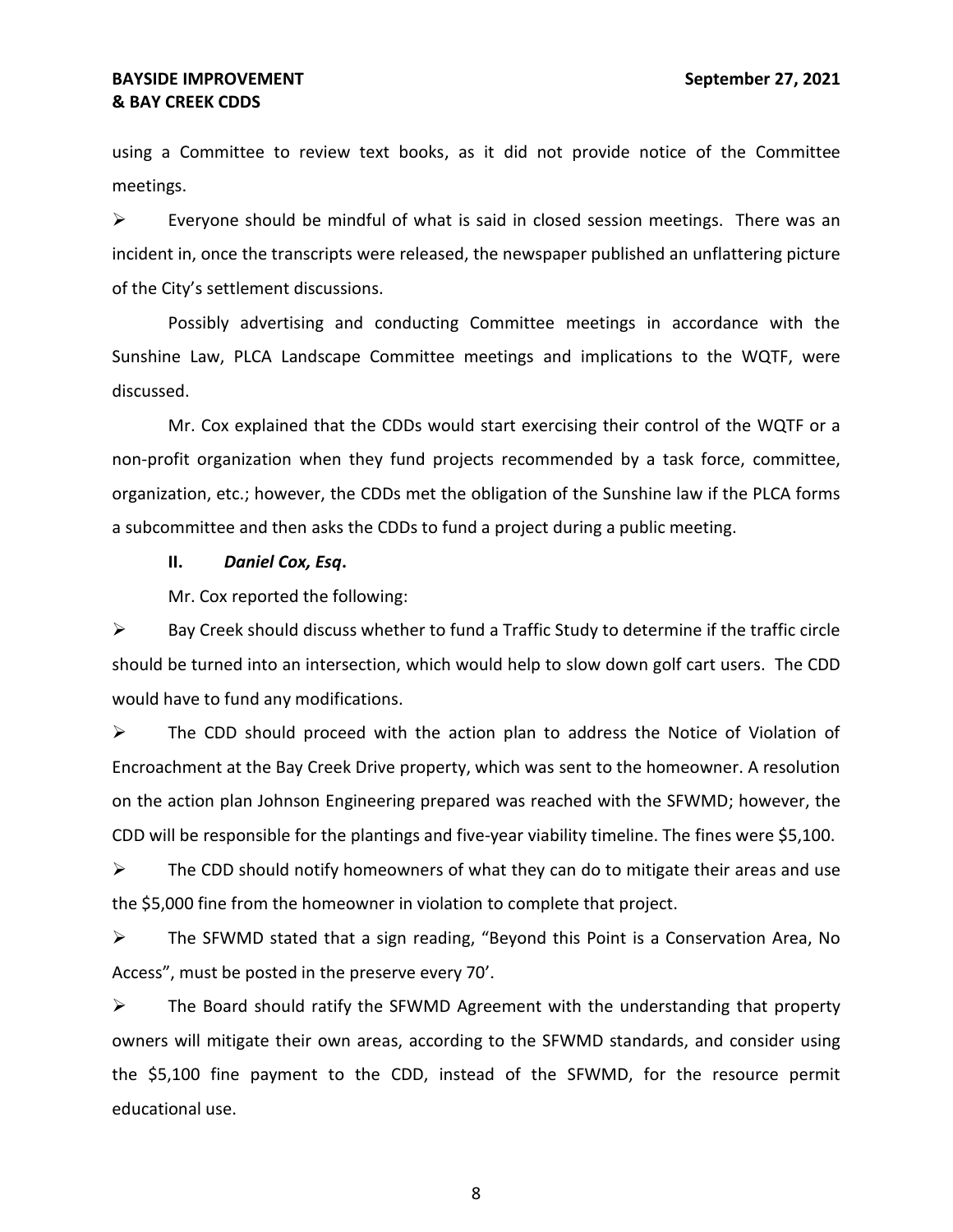using a Committee to review text books, as it did not provide notice of the Committee meetings.

 $\triangleright$  Everyone should be mindful of what is said in closed session meetings. There was an incident in, once the transcripts were released, the newspaper published an unflattering picture of the City's settlement discussions.

 Possibly advertising and conducting Committee meetings in accordance with the Sunshine Law, PLCA Landscape Committee meetings and implications to the WQTF, were discussed.

 Mr. Cox explained that the CDDs would start exercising their control of the WQTF or a non-profit organization when they fund projects recommended by a task force, committee, organization, etc.; however, the CDDs met the obligation of the Sunshine law if the PLCA forms a subcommittee and then asks the CDDs to fund a project during a public meeting.

### **II.** *Daniel Cox, Esq***.**

Mr. Cox reported the following:

 $\triangleright$  Bay Creek should discuss whether to fund a Traffic Study to determine if the traffic circle should be turned into an intersection, which would help to slow down golf cart users. The CDD would have to fund any modifications.

 ➢ The CDD should proceed with the action plan to address the Notice of Violation of Encroachment at the Bay Creek Drive property, which was sent to the homeowner. A resolution on the action plan Johnson Engineering prepared was reached with the SFWMD; however, the CDD will be responsible for the plantings and five-year viability timeline. The fines were \$5,100.

 $\triangleright$  The CDD should notify homeowners of what they can do to mitigate their areas and use the \$5,000 fine from the homeowner in violation to complete that project.

 ➢ The SFWMD stated that a sign reading, "Beyond this Point is a Conservation Area, No Access", must be posted in the preserve every 70'.

 $\triangleright$  The Board should ratify the SFWMD Agreement with the understanding that property owners will mitigate their own areas, according to the SFWMD standards, and consider using the \$5,100 fine payment to the CDD, instead of the SFWMD, for the resource permit educational use.

8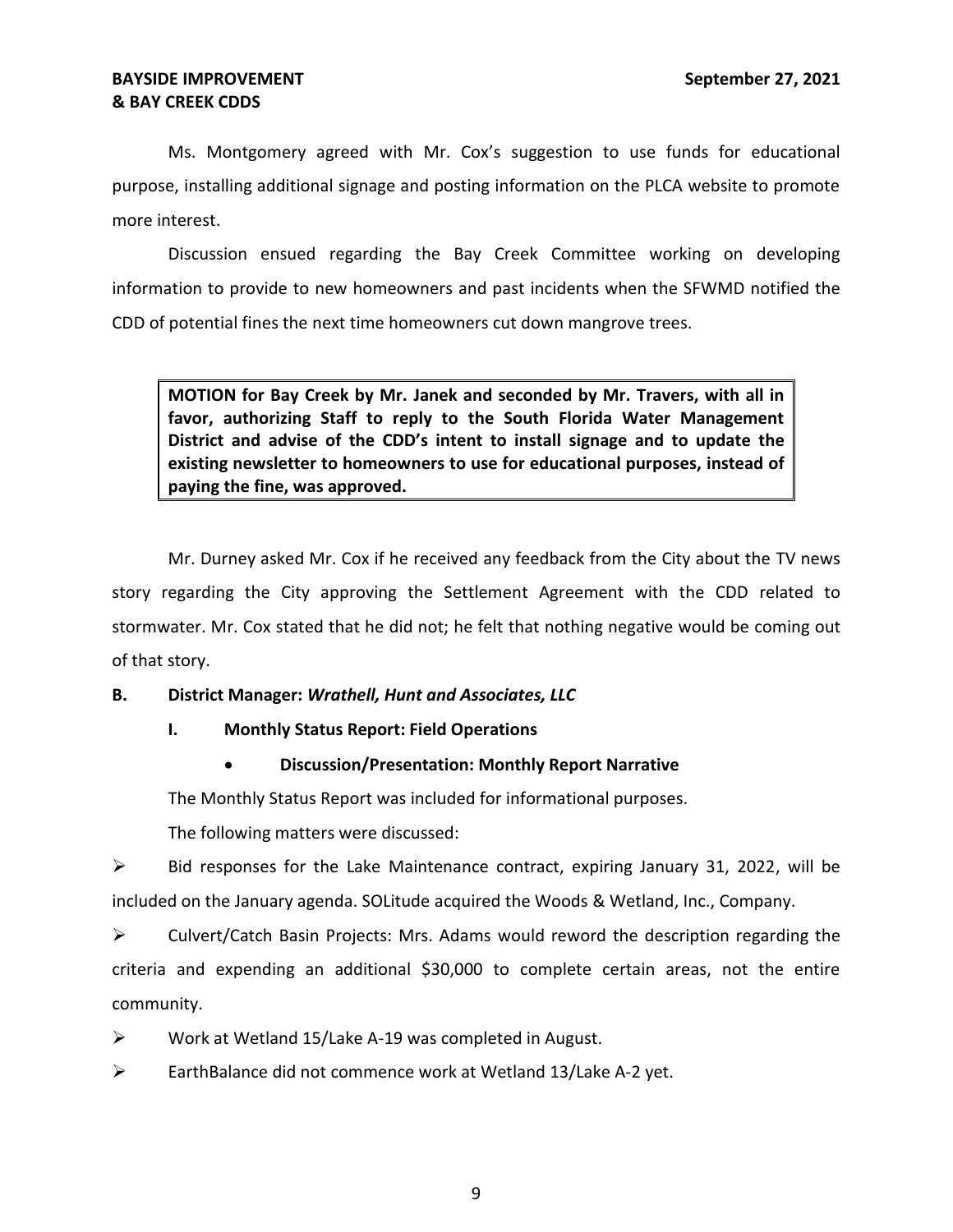Ms. Montgomery agreed with Mr. Cox's suggestion to use funds for educational purpose, installing additional signage and posting information on the PLCA website to promote more interest.

 Discussion ensued regarding the Bay Creek Committee working on developing information to provide to new homeowners and past incidents when the SFWMD notified the CDD of potential fines the next time homeowners cut down mangrove trees.

 **MOTION for Bay Creek by Mr. Janek and seconded by Mr. Travers, with all in favor, authorizing Staff to reply to the South Florida Water Management District and advise of the CDD's intent to install signage and to update the existing newsletter to homeowners to use for educational purposes, instead of paying the fine, was approved.** 

 Mr. Durney asked Mr. Cox if he received any feedback from the City about the TV news story regarding the City approving the Settlement Agreement with the CDD related to stormwater. Mr. Cox stated that he did not; he felt that nothing negative would be coming out of that story.

## **B. District Manager:** *Wrathell, Hunt and Associates, LLC*

## **I. Monthly Status Report: Field Operations**

## • **Discussion/Presentation: Monthly Report Narrative**

The Monthly Status Report was included for informational purposes.

The following matters were discussed:

 $\triangleright$  Bid responses for the Lake Maintenance contract, expiring January 31, 2022, will be included on the January agenda. SOLitude acquired the Woods & Wetland, Inc., Company.

 ➢ Culvert/Catch Basin Projects: Mrs. Adams would reword the description regarding the criteria and expending an additional \$30,000 to complete certain areas, not the entire community.

➢ Work at Wetland 15/Lake A-19 was completed in August.

➢ EarthBalance did not commence work at Wetland 13/Lake A-2 yet.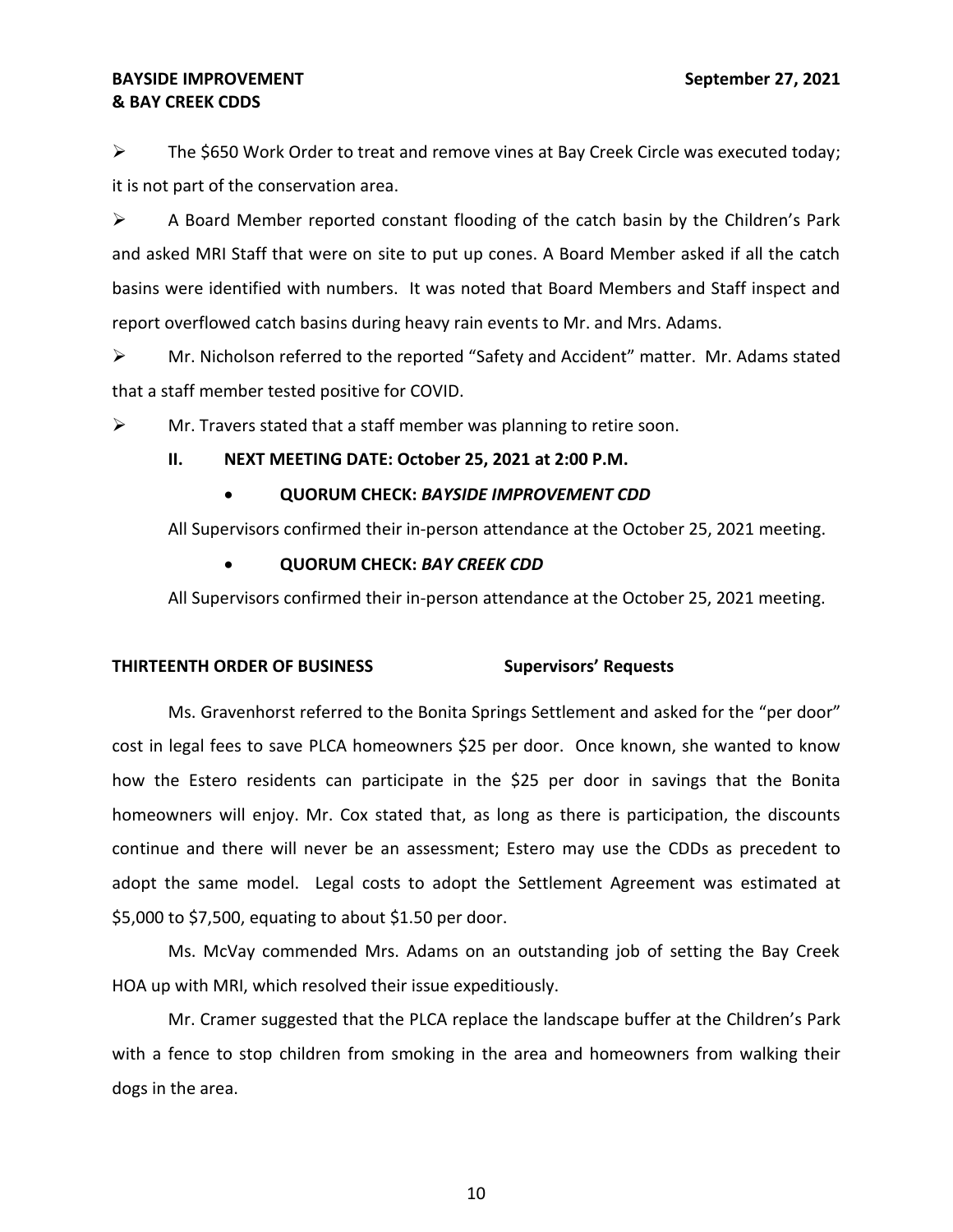$\triangleright$  The \$650 Work Order to treat and remove vines at Bay Creek Circle was executed today; it is not part of the conservation area.

 ➢ A Board Member reported constant flooding of the catch basin by the Children's Park and asked MRI Staff that were on site to put up cones. A Board Member asked if all the catch basins were identified with numbers. It was noted that Board Members and Staff inspect and report overflowed catch basins during heavy rain events to Mr. and Mrs. Adams.

 ➢ Mr. Nicholson referred to the reported "Safety and Accident" matter. Mr. Adams stated that a staff member tested positive for COVID.

 $\triangleright$  Mr. Travers stated that a staff member was planning to retire soon.

### **II. NEXT MEETING DATE: October 25, 2021 at 2:00 P.M.**

# • **QUORUM CHECK:** *BAYSIDE IMPROVEMENT CDD*

All Supervisors confirmed their in-person attendance at the October 25, 2021 meeting.

## • **QUORUM CHECK:** *BAY CREEK CDD*

All Supervisors confirmed their in-person attendance at the October 25, 2021 meeting.

## **THIRTEENTH ORDER OF BUSINESS Supervisors' Requests**

 Ms. Gravenhorst referred to the Bonita Springs Settlement and asked for the "per door" cost in legal fees to save PLCA homeowners \$25 per door. Once known, she wanted to know how the Estero residents can participate in the \$25 per door in savings that the Bonita continue and there will never be an assessment; Estero may use the CDDs as precedent to adopt the same model. Legal costs to adopt the Settlement Agreement was estimated at homeowners will enjoy. Mr. Cox stated that, as long as there is participation, the discounts \$5,000 to \$7,500, equating to about \$1.50 per door.

 Ms. McVay commended Mrs. Adams on an outstanding job of setting the Bay Creek HOA up with MRI, which resolved their issue expeditiously.

 with a fence to stop children from smoking in the area and homeowners from walking their Mr. Cramer suggested that the PLCA replace the landscape buffer at the Children's Park dogs in the area.

10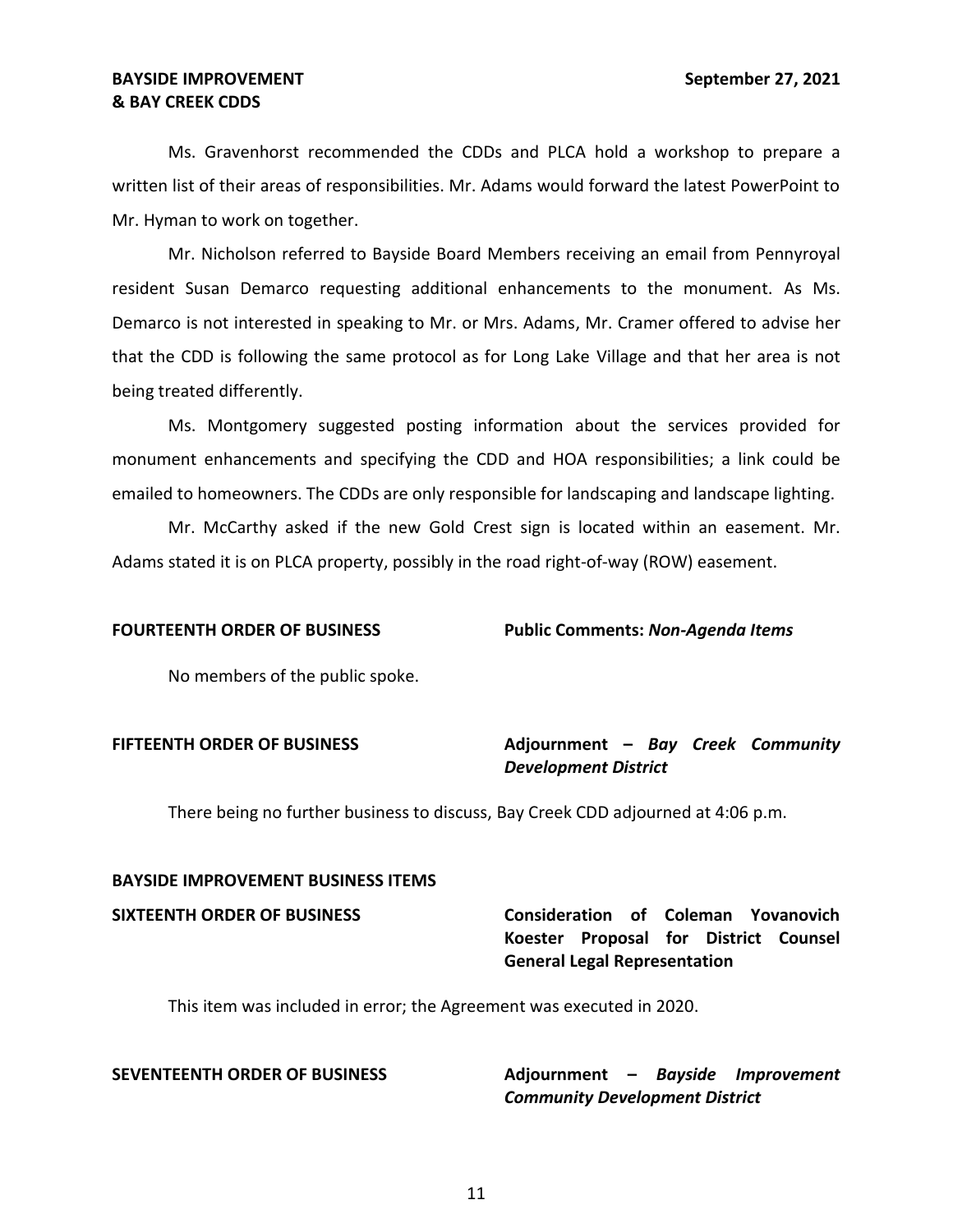# **& BAY CREEK CDDS BAYSIDE IMPROVEMENT** September 27, 2021

 written list of their areas of responsibilities. Mr. Adams would forward the latest PowerPoint to Mr. Hyman to work on together. Ms. Gravenhorst recommended the CDDs and PLCA hold a workshop to prepare a

 Mr. Nicholson referred to Bayside Board Members receiving an email from Pennyroyal resident Susan Demarco requesting additional enhancements to the monument. As Ms. Demarco is not interested in speaking to Mr. or Mrs. Adams, Mr. Cramer offered to advise her that the CDD is following the same protocol as for Long Lake Village and that her area is not being treated differently.

 Ms. Montgomery suggested posting information about the services provided for monument enhancements and specifying the CDD and HOA responsibilities; a link could be emailed to homeowners. The CDDs are only responsible for landscaping and landscape lighting.

 Mr. McCarthy asked if the new Gold Crest sign is located within an easement. Mr. Adams stated it is on PLCA property, possibly in the road right-of-way (ROW) easement.

FOURTEENTH ORDER OF BUSINESS Public Comments: *Non-Agenda Items* 

No members of the public spoke.

# **FIFTEENTH ORDER OF BUSINESS Adjournment –** *Bay Creek Community Development District*

There being no further business to discuss, Bay Creek CDD adjourned at 4:06 p.m.

# **BAYSIDE IMPROVEMENT BUSINESS ITEMS**

# **SIXTEENTH ORDER OF BUSINESS Consideration of Coleman Yovanovich Koester Proposal for District Counsel General Legal Representation**

This item was included in error; the Agreement was executed in 2020.

**SEVENTEENTH ORDER OF BUSINESS Adjournment –** *Bayside Improvement Community Development District*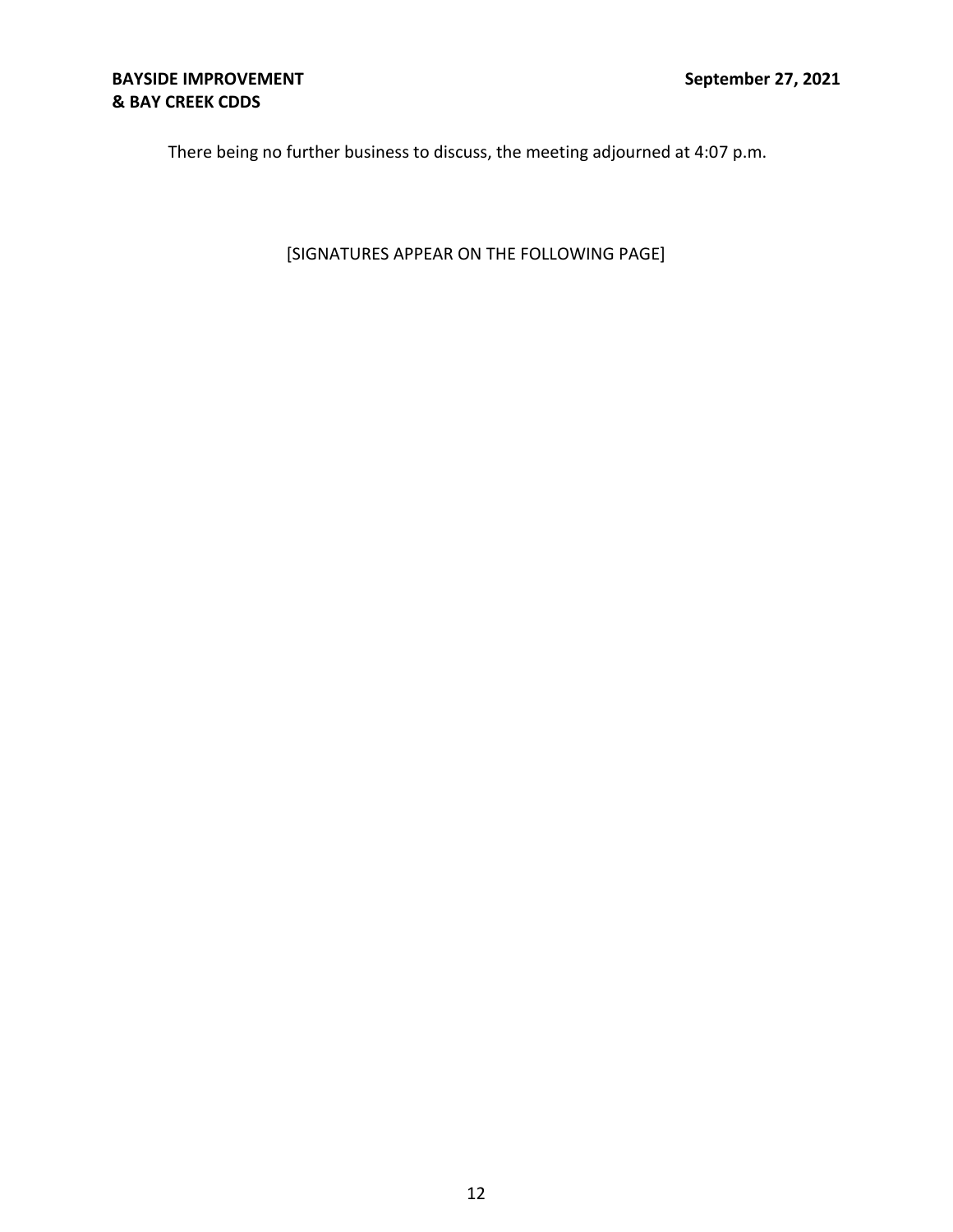There being no further business to discuss, the meeting adjourned at 4:07 p.m.

[SIGNATURES APPEAR ON THE FOLLOWING PAGE]